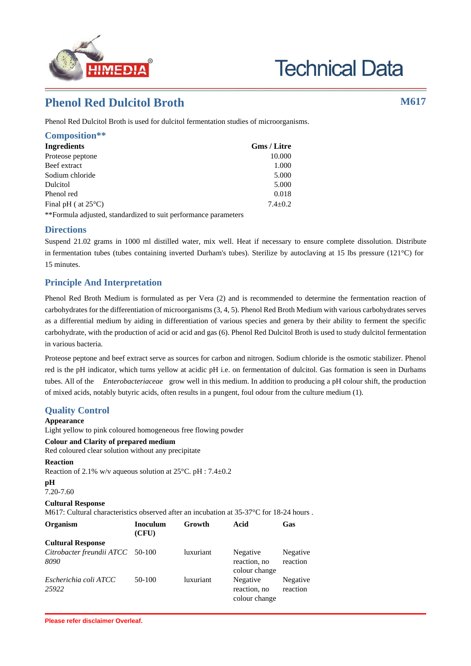

# **Technical Data**

# **Phenol Red Dulcitol Broth M617**

Phenol Red Dulcitol Broth is used for dulcitol fermentation studies of microorganisms.

| Composition**                 |                    |
|-------------------------------|--------------------|
| <b>Ingredients</b>            | <b>Gms</b> / Litre |
| Proteose peptone              | 10.000             |
| Beef extract                  | 1.000              |
| Sodium chloride               | 5.000              |
| Dulcitol                      | 5.000              |
| Phenol red                    | 0.018              |
| Final pH ( at $25^{\circ}$ C) | $7.4 \pm 0.2$      |
|                               |                    |

\*\*Formula adjusted, standardized to suit performance parameters

### **Directions**

Suspend 21.02 grams in 1000 ml distilled water, mix well. Heat if necessary to ensure complete dissolution. Distribute in fermentation tubes (tubes containing inverted Durham's tubes). Sterilize by autoclaving at 15 lbs pressure (121°C) for 15 minutes.

## **Principle And Interpretation**

Phenol Red Broth Medium is formulated as per Vera (2) and is recommended to determine the fermentation reaction of carbohydrates for the differentiation of microorganisms (3, 4, 5). Phenol Red Broth Medium with various carbohydrates serves as a differential medium by aiding in differentiation of various species and genera by their ability to ferment the specific carbohydrate, with the production of acid or acid and gas (6). Phenol Red Dulcitol Broth is used to study dulcitol fermentation in various bacteria.

Proteose peptone and beef extract serve as sources for carbon and nitrogen. Sodium chloride is the osmotic stabilizer. Phenol red is the pH indicator, which turns yellow at acidic pH i.e. on fermentation of dulcitol. Gas formation is seen in Durhams tubes. All of the *Enterobacteriaceae* grow well in this medium. In addition to producing a pH colour shift, the production of mixed acids, notably butyric acids, often results in a pungent, foul odour from the culture medium (1).

> Negative reaction

> Negative reaction

colour change

#### **Quality Control Appearance** Light yellow to pink coloured homogeneous free flowing powder **Colour and Clarity of prepared medium** Red coloured clear solution without any precipitate **Reaction** Reaction of 2.1% w/v aqueous solution at 25°C. pH : 7.4±0.2 **pH** 7.20-7.60 **Cultural Response** M617: Cultural characteristics observed after an incubation at 35-37 °C for 18-24 hours. **Organism Inoculum (CFU) Growth Acid Gas Cultural Response** *Citrobacter freundii ATCC 8090* luxuriant Negative reaction, no colour change *Escherichia coli ATCC 25922* 50-100 luxuriant Negative reaction, no